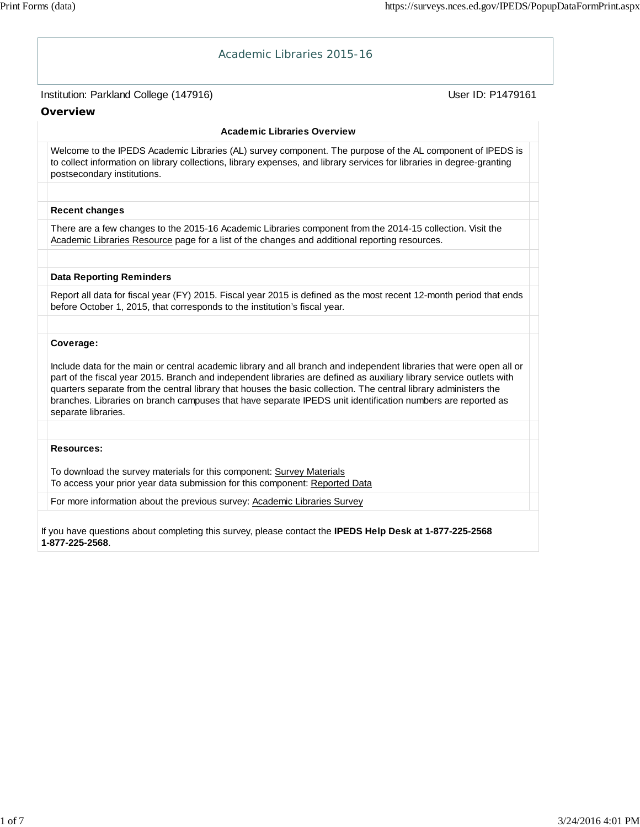| Academic Libraries 2015-16                                                                                                                                                                                                                                                                                                                                                                                                                                                                             |                   |
|--------------------------------------------------------------------------------------------------------------------------------------------------------------------------------------------------------------------------------------------------------------------------------------------------------------------------------------------------------------------------------------------------------------------------------------------------------------------------------------------------------|-------------------|
| Institution: Parkland College (147916)<br>Overview                                                                                                                                                                                                                                                                                                                                                                                                                                                     | User ID: P1479161 |
| <b>Academic Libraries Overview</b>                                                                                                                                                                                                                                                                                                                                                                                                                                                                     |                   |
| Welcome to the IPEDS Academic Libraries (AL) survey component. The purpose of the AL component of IPEDS is<br>to collect information on library collections, library expenses, and library services for libraries in degree-granting<br>postsecondary institutions.                                                                                                                                                                                                                                    |                   |
| <b>Recent changes</b>                                                                                                                                                                                                                                                                                                                                                                                                                                                                                  |                   |
| There are a few changes to the 2015-16 Academic Libraries component from the 2014-15 collection. Visit the<br>Academic Libraries Resource page for a list of the changes and additional reporting resources.                                                                                                                                                                                                                                                                                           |                   |
| <b>Data Reporting Reminders</b>                                                                                                                                                                                                                                                                                                                                                                                                                                                                        |                   |
| Report all data for fiscal year (FY) 2015. Fiscal year 2015 is defined as the most recent 12-month period that ends<br>before October 1, 2015, that corresponds to the institution's fiscal year.                                                                                                                                                                                                                                                                                                      |                   |
| Coverage:                                                                                                                                                                                                                                                                                                                                                                                                                                                                                              |                   |
| Include data for the main or central academic library and all branch and independent libraries that were open all or<br>part of the fiscal year 2015. Branch and independent libraries are defined as auxiliary library service outlets with<br>quarters separate from the central library that houses the basic collection. The central library administers the<br>branches. Libraries on branch campuses that have separate IPEDS unit identification numbers are reported as<br>separate libraries. |                   |
|                                                                                                                                                                                                                                                                                                                                                                                                                                                                                                        |                   |
| <b>Resources:</b><br>To download the survey materials for this component: Survey Materials<br>To access your prior year data submission for this component: Reported Data                                                                                                                                                                                                                                                                                                                              |                   |
| For more information about the previous survey: Academic Libraries Survey                                                                                                                                                                                                                                                                                                                                                                                                                              |                   |
| If you have questions about completing this survey, please contact the IPEDS Help Desk at 1-877-225-2568<br>1-877-225-2568.                                                                                                                                                                                                                                                                                                                                                                            |                   |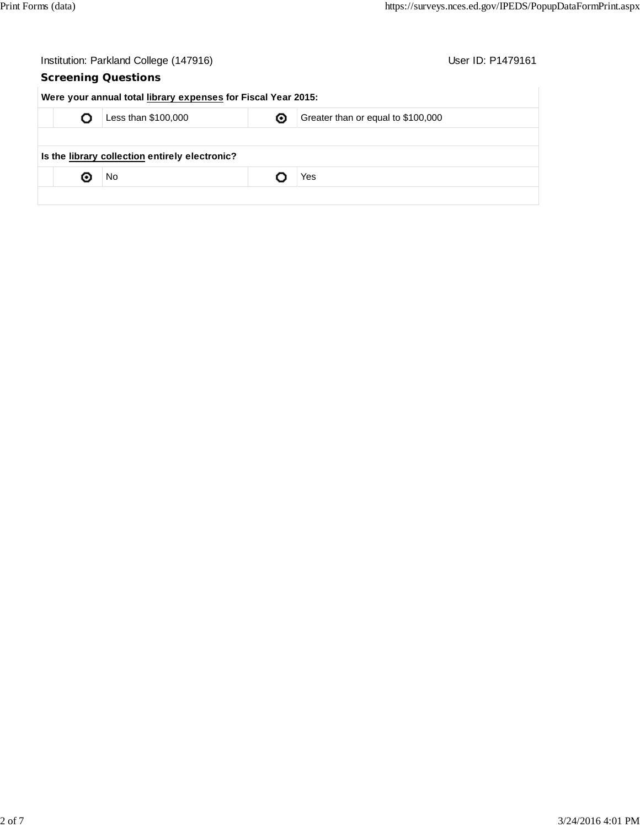|                                                                | Institution: Parkland College (147916) |                            |  | User ID: P1479161 |
|----------------------------------------------------------------|----------------------------------------|----------------------------|--|-------------------|
|                                                                |                                        | <b>Screening Questions</b> |  |                   |
| Were your annual total library expenses for Fiscal Year 2015:  |                                        |                            |  |                   |
| Less than \$100,000<br>Greater than or equal to \$100,000<br>◉ |                                        |                            |  |                   |
|                                                                |                                        |                            |  |                   |
| Is the library collection entirely electronic?                 |                                        |                            |  |                   |
|                                                                | о                                      | No                         |  | Yes               |
|                                                                |                                        |                            |  |                   |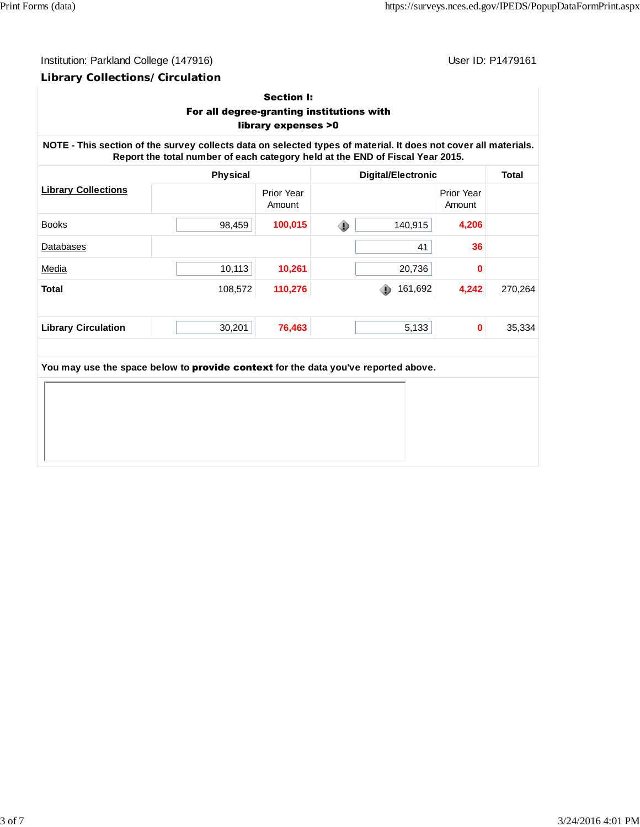# Institution: Parkland College (147916) Contract College (147916)

## **Library Collections/Circulation**

## Section I: For all degree-granting institutions with library expenses >0

**NOTE - This section of the survey collects data on selected types of material. It does not cover all materials. Report the total number of each category held at the END of Fiscal Year 2015.**

|                            | <b>Physical</b> |                      | <b>Digital/Electronic</b> |                             | <b>Total</b> |
|----------------------------|-----------------|----------------------|---------------------------|-----------------------------|--------------|
| <b>Library Collections</b> |                 | Prior Year<br>Amount |                           | <b>Prior Year</b><br>Amount |              |
| <b>Books</b>               | 98,459          | 100,015              | ۰<br>140,915              | 4,206                       |              |
| <b>Databases</b>           |                 |                      | 41                        | 36                          |              |
| Media                      | 10,113          | 10,261               | 20,736                    | 0                           |              |
| <b>Total</b>               | 108,572         | 110,276              | 161,692<br>⊕              | 4,242                       | 270,264      |
|                            |                 |                      |                           |                             |              |
| <b>Library Circulation</b> | 30,201          | 76,463               | 5,133                     | 0                           | 35,334       |

**You may use the space below to** provide context **for the data you've reported above.**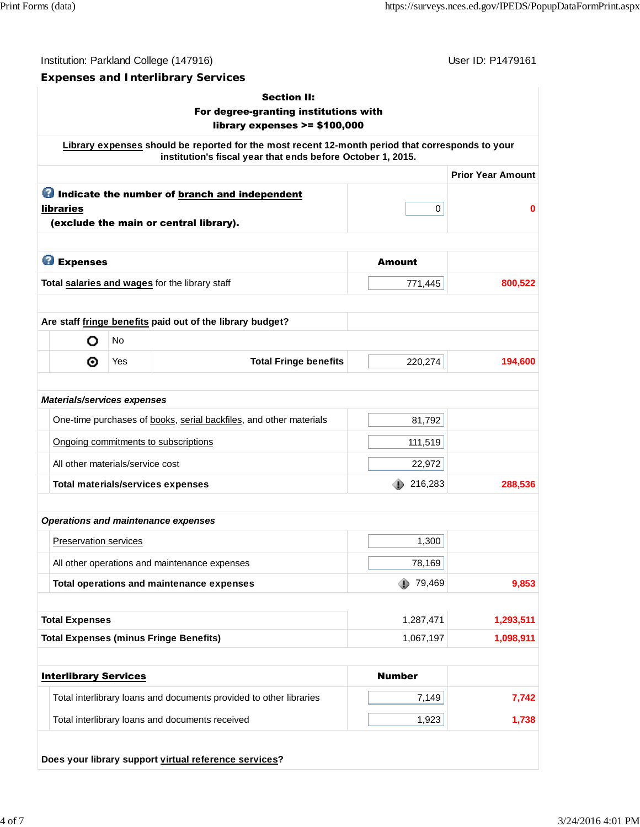Institution: Parkland College (147916) November 2012 12: P1479161

#### **Expenses and Interlibrary Services**

# Section II: For degree-granting institutions with library expenses >= \$100,000 **Library expenses should be reported for the most recent 12-month period that corresponds to your institution's fiscal year that ends before October 1, 2015. Prior Year Amount O** Indicate the number of **branch and independent** libraries 0 **0** (exclude the main or central library). **C** Expenses Amount **Total <u>salaries and wages</u> for the library staff**  $\overline{a}$  **771,445** 800,522 **Are staff fringe benefits paid out of the library budget?** No O ⊚ Yes **Total Fringe benefits** 220,274 **194,600** *Materials/services expenses* One-time purchases of books, serial backfiles, and other materials **81,792** Ongoing commitments to subscriptions 111,519 All other materials/service cost 22,972 **Total materials/services expenses** 288,536 216,283 288,536 *Operations and maintenance expenses* Preservation services and the contract of the contract of the contract of the contract of the contract of the contract of the contract of the contract of the contract of the contract of the contract of the contract of the All other operations and maintenance expenses and maintenance  $\sim$  78,169 **Total operations and maintenance expenses** 79,469 9,853 **Total Expenses** 1,287,471 **1,293,511 Total Expenses (minus Fringe Benefits)** 1,067,197 1,098,911 **Interlibrary Services** Number Total interlibrary loans and documents provided to other libraries **7,149** 7,149 Total interlibrary loans and documents received 1,738 1,738 1,738

#### **Does your library support virtual reference services?**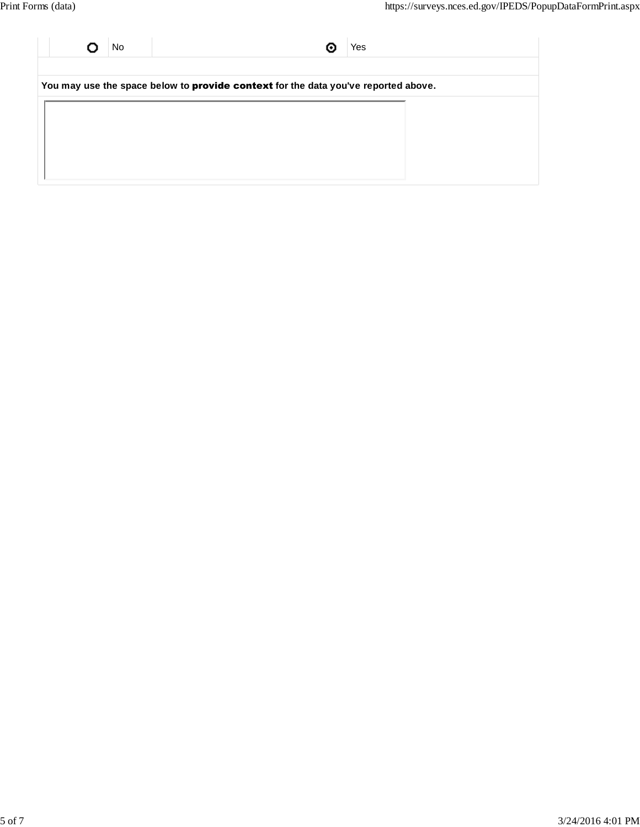| No                                                                                 | Yes |  |  |  |  |
|------------------------------------------------------------------------------------|-----|--|--|--|--|
|                                                                                    |     |  |  |  |  |
| You may use the space below to provide context for the data you've reported above. |     |  |  |  |  |
|                                                                                    |     |  |  |  |  |
|                                                                                    |     |  |  |  |  |
|                                                                                    |     |  |  |  |  |
|                                                                                    |     |  |  |  |  |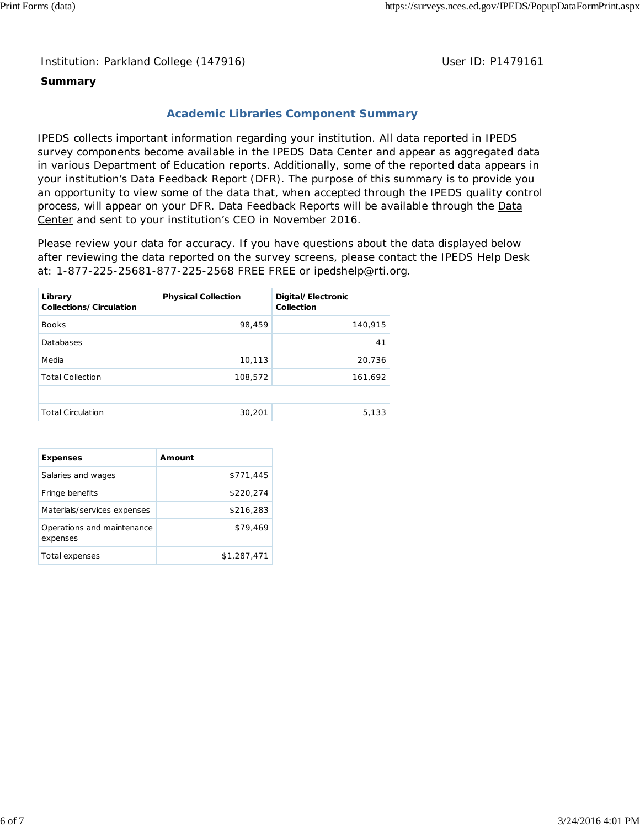Institution: Parkland College (147916) **Distribution: Parkland College (1479161** College College College College College College College College College College College College College College College College College Colle

## **Summary**

## **Academic Libraries Component Summary**

IPEDS collects important information regarding your institution. All data reported in IPEDS survey components become available in the IPEDS Data Center and appear as aggregated data in various Department of Education reports. Additionally, some of the reported data appears in your institution's Data Feedback Report (DFR). The purpose of this summary is to provide you an opportunity to view some of the data that, when accepted through the IPEDS quality control process, will appear on your DFR. Data Feedback Reports will be available through the Data Center and sent to your institution's CEO in November 2016.

Please review your data for accuracy. If you have questions about the data displayed below after reviewing the data reported on the survey screens, please contact the IPEDS Help Desk at: 1-877-225-25681-877-225-2568 FREE FREE or ipedshelp@rti.org.

| Library<br>Collections/Circulation | <b>Physical Collection</b> | Digital/Electronic<br>Collection |
|------------------------------------|----------------------------|----------------------------------|
| <b>Books</b>                       | 98,459                     | 140,915                          |
| Databases                          |                            | 41                               |
| Media                              | 10,113                     | 20,736                           |
| <b>Total Collection</b>            | 108,572                    | 161,692                          |
|                                    |                            |                                  |
| <b>Total Circulation</b>           | 30,201                     | 5,133                            |

| <b>Expenses</b>                        | Amount      |
|----------------------------------------|-------------|
| Salaries and wages                     | \$771,445   |
| Fringe benefits                        | \$220,274   |
| Materials/services expenses            | \$216,283   |
| Operations and maintenance<br>expenses | \$79.469    |
| Total expenses                         | \$1,287,471 |